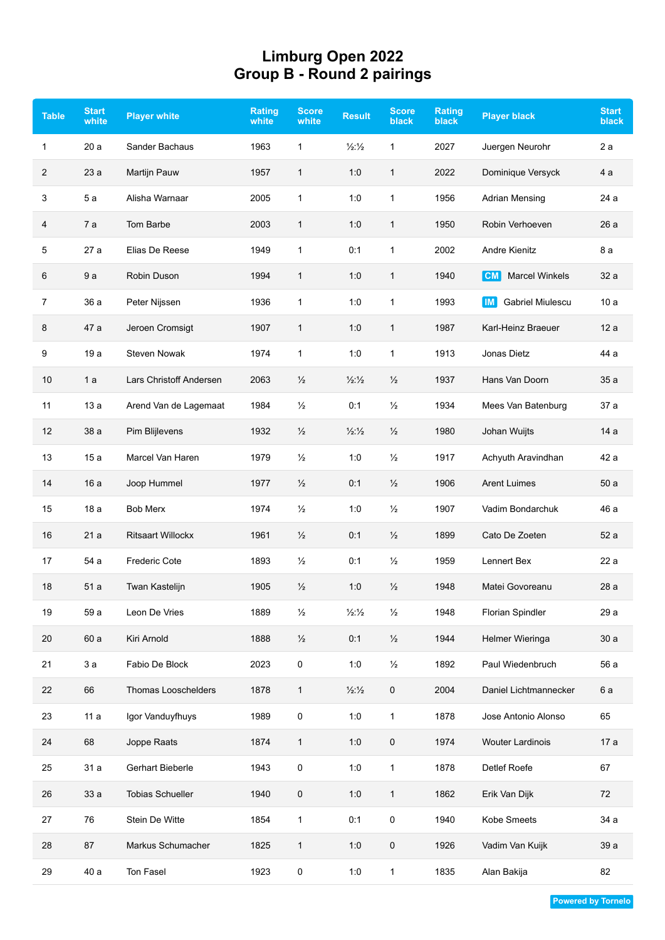## **Limburg Open 2022 Group B - Round 2 pairings**

| <b>Table</b> | <b>Start</b><br>white | <b>Player white</b>      | <b>Rating</b><br>white | <b>Score</b><br>white | <b>Result</b>            | <b>Score</b><br><b>black</b> | <b>Rating</b><br><b>black</b> | <b>Player black</b>          | <b>Start</b><br><b>black</b> |
|--------------|-----------------------|--------------------------|------------------------|-----------------------|--------------------------|------------------------------|-------------------------------|------------------------------|------------------------------|
| $\mathbf{1}$ | 20a                   | <b>Sander Bachaus</b>    | 1963                   | $\mathbf{1}$          | $\frac{1}{2}\frac{1}{2}$ | 1                            | 2027                          | Juergen Neurohr              | 2a                           |
| 2            | 23a                   | Martijn Pauw             | 1957                   | $\mathbf{1}$          | 1:0                      | $\mathbf{1}$                 | 2022                          | Dominique Versyck            | 4 a                          |
| 3            | 5a                    | Alisha Warnaar           | 2005                   | 1                     | 1:0                      | 1                            | 1956                          | <b>Adrian Mensing</b>        | 24 a                         |
| 4            | 7a                    | Tom Barbe                | 2003                   | $\mathbf{1}$          | 1:0                      | 1                            | 1950                          | Robin Verhoeven              | 26a                          |
| 5            | 27 a                  | Elias De Reese           | 1949                   | $\mathbf{1}$          | 0:1                      | 1                            | 2002                          | <b>Andre Kienitz</b>         | 8 a                          |
| 6            | 9a                    | Robin Duson              | 1994                   | $\mathbf{1}$          | 1:0                      | 1                            | 1940                          | <b>Marcel Winkels</b><br> CM | 32 a                         |
| 7            | 36 a                  | Peter Nijssen            | 1936                   | $\mathbf{1}$          | 1:0                      | 1                            | 1993                          | Gabriel Miulescu<br>IM.      | 10a                          |
| 8            | 47 a                  | Jeroen Cromsigt          | 1907                   | 1                     | 1:0                      | 1                            | 1987                          | Karl-Heinz Braeuer           | 12a                          |
| 9            | 19a                   | <b>Steven Nowak</b>      | 1974                   | $\mathbf{1}$          | 1:0                      | 1                            | 1913                          | Jonas Dietz                  | 44 a                         |
| 10           | 1a                    | Lars Christoff Andersen  | 2063                   | $\frac{1}{2}$         | $\frac{1}{2}\frac{1}{2}$ | $\frac{1}{2}$                | 1937                          | Hans Van Doorn               | 35a                          |
| 11           | 13a                   | Arend Van de Lagemaat    | 1984                   | $\frac{1}{2}$         | 0:1                      | $\frac{1}{2}$                | 1934                          | Mees Van Batenburg           | 37 a                         |
| 12           | 38 a                  | Pim Blijlevens           | 1932                   | $\frac{1}{2}$         | $\frac{1}{2}\frac{1}{2}$ | $\frac{1}{2}$                | 1980                          | Johan Wuijts                 | 14a                          |
| 13           | 15a                   | Marcel Van Haren         | 1979                   | $\frac{1}{2}$         | 1:0                      | $\frac{1}{2}$                | 1917                          | Achyuth Aravindhan           | 42 a                         |
| 14           | 16 a                  | Joop Hummel              | 1977                   | $\frac{1}{2}$         | 0:1                      | $\frac{1}{2}$                | 1906                          | <b>Arent Luimes</b>          | 50a                          |
| 15           | 18a                   | <b>Bob Merx</b>          | 1974                   | $\frac{1}{2}$         | 1:0                      | $\frac{1}{2}$                | 1907                          | Vadim Bondarchuk             | 46 a                         |
| 16           | 21a                   | <b>Ritsaart Willockx</b> | 1961                   | $\frac{1}{2}$         | 0:1                      | $\frac{1}{2}$                | 1899                          | Cato De Zoeten               | 52 a                         |
| 17           | 54 a                  | <b>Frederic Cote</b>     | 1893                   | $\frac{1}{2}$         | 0:1                      | $\frac{1}{2}$                | 1959                          | Lennert Bex                  | 22a                          |
| 18           | 51 a                  | Twan Kastelijn           | 1905                   | $\frac{1}{2}$         | 1:0                      | $\frac{1}{2}$                | 1948                          | Matei Govoreanu              | 28 a                         |
| 19           | 59 a                  | Leon De Vries            | 1889                   | $\frac{1}{2}$         | $\frac{1}{2}\frac{1}{2}$ | $\frac{1}{2}$                | 1948                          | Florian Spindler             | 29 a                         |
| 20           | 60 a                  | Kiri Arnold              | 1888                   | $\frac{1}{2}$         | 0:1                      | $\frac{1}{2}$                | 1944                          | Helmer Wieringa              | 30a                          |
| 21           | 3a                    | Fabio De Block           | 2023                   | 0                     | 1:0                      | $\frac{1}{2}$                | 1892                          | Paul Wiedenbruch             | 56 a                         |
| 22           | 66                    | Thomas Looschelders      | 1878                   | $\mathbf{1}$          | $\frac{1}{2}\frac{1}{2}$ | 0                            | 2004                          | Daniel Lichtmannecker        | 6 a                          |
| 23           | 11a                   | Igor Vanduyfhuys         | 1989                   | 0                     | 1:0                      | 1                            | 1878                          | Jose Antonio Alonso          | 65                           |
| 24           | 68                    | Joppe Raats              | 1874                   | $\mathbf{1}$          | 1:0                      | 0                            | 1974                          | <b>Wouter Lardinois</b>      | 17 a                         |
| 25           | 31 a                  | Gerhart Bieberle         | 1943                   | 0                     | 1:0                      | 1                            | 1878                          | Detlef Roefe                 | 67                           |
| 26           | 33 a                  | <b>Tobias Schueller</b>  | 1940                   | $\pmb{0}$             | 1:0                      | 1                            | 1862                          | Erik Van Dijk                | 72                           |
| 27           | 76                    | Stein De Witte           | 1854                   | $\mathbf{1}$          | 0:1                      | 0                            | 1940                          | Kobe Smeets                  | 34 a                         |
| 28           | 87                    | Markus Schumacher        | 1825                   | $\mathbf{1}$          | 1:0                      | 0                            | 1926                          | Vadim Van Kuijk              | 39 a                         |
| 29           | 40 a                  | Ton Fasel                | 1923                   | 0                     | 1:0                      | 1                            | 1835                          | Alan Bakija                  | 82                           |